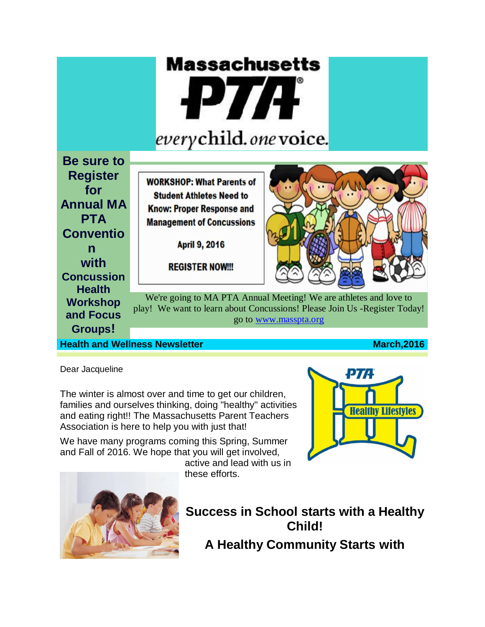

**Health and Wellness Newsletter March,2016 March,2016** 

Dear Jacqueline

The winter is almost over and time to get our children, families and ourselves thinking, doing "healthy" activities and eating right!! The Massachusetts Parent Teachers Association is here to help you with just that!

We have many programs coming this Spring, Summer and Fall of 2016. We hope that you will get involved,

active and lead with us in these efforts.





**Success in School starts with a Healthy Child! A Healthy Community Starts with**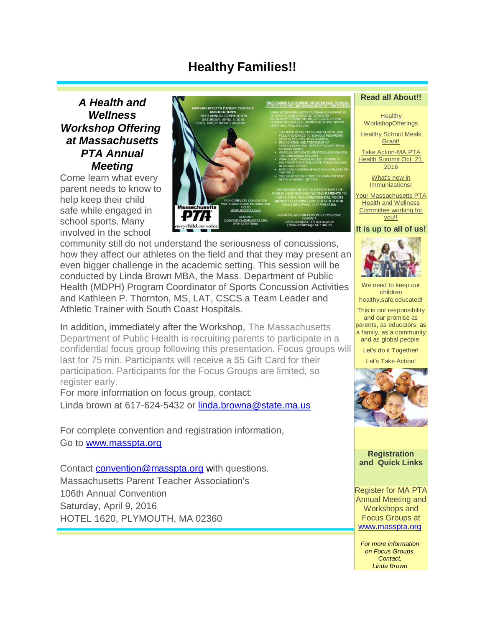# **Healthy Families!!**

*A Health and Wellness Workshop Offering at Massachusetts PTA Annual Meeting*

Come learn what every parent needs to know to help keep their child safe while engaged in school sports. Many involved in the school



community still do not understand the seriousness of concussions, how they affect our athletes on the field and that they may present an even bigger challenge in the academic setting. This session will be conducted by Linda Brown MBA, the Mass. Department of Public Health (MDPH) Program Coordinator of Sports Concussion Activities and Kathleen P. Thornton, MS, LAT, CSCS a Team Leader and Athletic Trainer with South Coast Hospitals.

In addition, immediately after the Workshop, The Massachusetts Department of Public Health is recruiting parents to participate in a confidential focus group following this presentation. Focus groups will last for 75 min. Participants will receive a \$5 Gift Card for their participation. Participants for the Focus Groups are limited, so register early.

For more information on focus group, contact: Linda brown at 617-624-5432 or [linda.browna@state.ma.us](javascript:window.top.ZmObjectManager.__doClickObject(document.getElementById(%22OBJ_PREFIX_DWT444_com_zimbra_email%22));)

For complete convention and registration information, Go to [www.masspta.org](http://r20.rs6.net/tn.jsp?f=0018ZT9BRXTFbHuYADot-aSXggiKVrMRphzQlE6tPm1kXilQvfBEM_JUApPtQ_yYbKogjh3fZuDJRZDbJrnCKeAr8ug74y8iSfKMueodS9Pdw4DOk2QoQ_5rP5wjxNsbG4f5GLtw_JRFm4ZqhM5OkdtyFMWAuKUxQAcdExxiMNrIq0=&c=oplfcB73P7Ylj487bHLo9C2LVmvQprcrfeSWlQOToFLs3v2IDgI6jA==&ch=770BmStVOzcWJOQkvv5G8mif51W5jSxLcCcipNBXSxLtpv2mSY06bA==)

Contact [convention@masspta.org](javascript:window.top.ZmObjectManager.__doClickObject(document.getElementById(%22OBJ_PREFIX_DWT446_com_zimbra_email%22));) with questions. Massachusetts Parent Teacher Association's 106th Annual Convention Saturday, April 9, 2016 HOTEL 1620, PLYMOUTH, MA 02360

#### **Read all About!!**

**Healthy [WorkshopOfferings](https://web.mail.comcast.net/zimbra/mail?app=mail#LETTER.BLOCK6)** 

**Healthy School Meals** [Grant!](https://web.mail.comcast.net/zimbra/mail?app=mail#LETTER.BLOCK8)

[Take Action-MA PTA](https://web.mail.comcast.net/zimbra/mail?app=mail#LETTER.BLOCK10)  [Health Summit Oct. 21,](https://web.mail.comcast.net/zimbra/mail?app=mail#LETTER.BLOCK10)  [2016](https://web.mail.comcast.net/zimbra/mail?app=mail#LETTER.BLOCK10)

> [What's new in](https://web.mail.comcast.net/zimbra/mail?app=mail#LETTER.BLOCK12)  [Immunizations!](https://web.mail.comcast.net/zimbra/mail?app=mail#LETTER.BLOCK12)

Your Massachusetts PTA [Health and Wellness](https://web.mail.comcast.net/zimbra/mail?app=mail#LETTER.BLOCK15)  [Committee working for](https://web.mail.comcast.net/zimbra/mail?app=mail#LETTER.BLOCK15)  [you!!](https://web.mail.comcast.net/zimbra/mail?app=mail#LETTER.BLOCK15)

**It is up to all of us!**



We need to keep our children healthy,safe,educated!

This is our responsibility and our promise as parents, as educators, as a family, as a community and as global people.

Let's do it Together!

Let's Take Action!



**Registration and Quick Links**

Register for MA PTA Annual Meeting and Workshops and Focus Groups at [www.masspta.org](http://r20.rs6.net/tn.jsp?f=0018ZT9BRXTFbHuYADot-aSXggiKVrMRphzQlE6tPm1kXilQvfBEM_JUApPtQ_yYbKogjh3fZuDJRZDbJrnCKeAr8ug74y8iSfKMueodS9Pdw4DOk2QoQ_5rP5wjxNsbG4f5GLtw_JRFm4ZqhM5OkdtyFMWAuKUxQAcdExxiMNrIq0=&c=oplfcB73P7Ylj487bHLo9C2LVmvQprcrfeSWlQOToFLs3v2IDgI6jA==&ch=770BmStVOzcWJOQkvv5G8mif51W5jSxLcCcipNBXSxLtpv2mSY06bA==)

*For more information on Focus Groups, Contact, Linda Brown*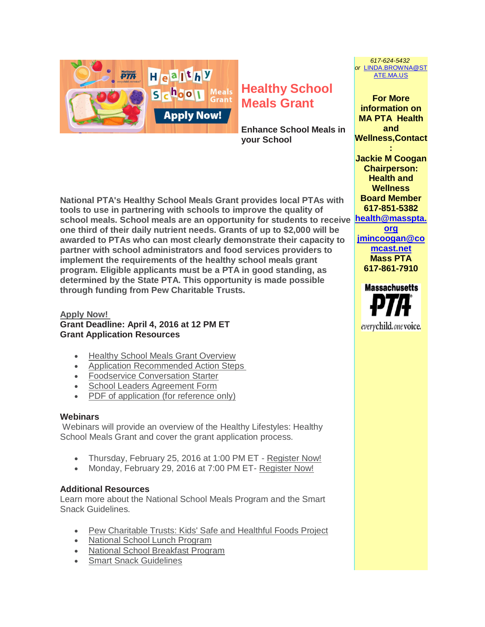

# **Healthy School Meals Grant**

**Enhance School Meals in your School**

**National PTA's Healthy School Meals Grant provides local PTAs with tools to use in partnering with schools to improve the quality of school meals. School meals are an opportunity for students to receive [health@masspta.](javascript:window.top.ZmObjectManager.__doClickObject(document.getElementById(%22OBJ_PREFIX_DWT466_com_zimbra_email%22));) one third of their daily nutrient needs. Grants of up to \$2,000 will be awarded to PTAs who can most clearly demonstrate their capacity to partner with school administrators and food services providers to implement the requirements of the healthy school meals grant program. Eligible applicants must be a PTA in good standing, as determined by the State PTA. This opportunity is made possible through funding from Pew Charitable Trusts.**

## **[Apply Now!](http://r20.rs6.net/tn.jsp?f=0018ZT9BRXTFbHuYADot-aSXggiKVrMRphzQlE6tPm1kXilQvfBEM_JUAOo8Ge2QgUobQamyBvXeN_s3LrJxLqayPMOcZKr75etwlVr46tUsOhP5bkd4C-nV5aPj8UBFOXfEI1D9kvFobrjdrWxjvWnrGLrWzYc4_byANQXWUQIx8JcjldZepH-aCcqXVA08S7X&c=oplfcB73P7Ylj487bHLo9C2LVmvQprcrfeSWlQOToFLs3v2IDgI6jA==&ch=770BmStVOzcWJOQkvv5G8mif51W5jSxLcCcipNBXSxLtpv2mSY06bA==) Grant Deadline: April 4, 2016 at 12 PM ET Grant Application Resources**

- [Healthy School Meals Grant Overview](http://r20.rs6.net/tn.jsp?f=0018ZT9BRXTFbHuYADot-aSXggiKVrMRphzQlE6tPm1kXilQvfBEM_JUAOo8Ge2QgUoHShcICSSdXrNiwxIdGDHQaU7j8bUJTexrklK0txkIGeB1iag_CPod04A8GdGFWQYWidyC2995Jomh2SkehCYRXVv8bHjNUC8xzvHWYdlOf6D00CI-kZ8nPeDxGamFO9sbbd0HS-AsmP3095UAW3YthSuXDmEpR0-ZvWFyaeTo-z3TEWe9wsD4g==&c=oplfcB73P7Ylj487bHLo9C2LVmvQprcrfeSWlQOToFLs3v2IDgI6jA==&ch=770BmStVOzcWJOQkvv5G8mif51W5jSxLcCcipNBXSxLtpv2mSY06bA==)
- [Application Recommended Action Steps](http://r20.rs6.net/tn.jsp?f=0018ZT9BRXTFbHuYADot-aSXggiKVrMRphzQlE6tPm1kXilQvfBEM_JUAOo8Ge2QgUoqZXtTluMgvNu2m1Aahoe-xzFHN_-5_FoHg2rFsz5dYdeNeLfmktGoRebR-AfVPOvZXbbPkVRpv7Juv-DJPRweiIZ-fGDrqBx0f-uPEHTMmQhNijoEThWXQQ6faWf5to0NF_-lNFYSrVa1ni6GsHk7UaltD9PwbSRFTIeKsGupNe8jyJqlJgGvSVEfhxZGGlLAl1GUKd9Qe6rtYKs6S4s_1hLE8udjp6p&c=oplfcB73P7Ylj487bHLo9C2LVmvQprcrfeSWlQOToFLs3v2IDgI6jA==&ch=770BmStVOzcWJOQkvv5G8mif51W5jSxLcCcipNBXSxLtpv2mSY06bA==)
- [Foodservice Conversation Starter](http://r20.rs6.net/tn.jsp?f=0018ZT9BRXTFbHuYADot-aSXggiKVrMRphzQlE6tPm1kXilQvfBEM_JUAOo8Ge2QgUoJ7znsCqMgzCkbnmhuzNWvcW-5r37PCR0aSx7nsiqacST5IXfxqhOHCLN1kJyPC1foS6dSipHIcgEoeA2vR0Eb6FEs4EUdmMLXzM_W8a2rx-i5lSfChKb2JsOytV7euRHFaEYzWh5y2BA2KUBov9z0oba6lkqUijDadJGbg0cwIqLrg0m5fY6jzvzcswEOQyk&c=oplfcB73P7Ylj487bHLo9C2LVmvQprcrfeSWlQOToFLs3v2IDgI6jA==&ch=770BmStVOzcWJOQkvv5G8mif51W5jSxLcCcipNBXSxLtpv2mSY06bA==)
- [School Leaders Agreement Form](http://r20.rs6.net/tn.jsp?f=0018ZT9BRXTFbHuYADot-aSXggiKVrMRphzQlE6tPm1kXilQvfBEM_JUAOo8Ge2QgUoiyvlrK20r-JV2S-dDHYM1oPUvr0RmnYocupdWOP54keOmry6Rot7KFOjREy2yS71gGTcunWyxxcFbC4f-FcO9Ko3c6ppXdL6K9DkirFj2In3gE8gqXHdB7rwP_6mZuOu-bJyzViYaT5ELfwqOb5Gjcv4arELbmpx8ayKb5lSe4BqNkQRoXgJ1wLQPLrgOLYfiONFJYaPBIku6k9Axykgx_oTsIZx-tpTd195pGlVSUZVpYZjhXJLOg==&c=oplfcB73P7Ylj487bHLo9C2LVmvQprcrfeSWlQOToFLs3v2IDgI6jA==&ch=770BmStVOzcWJOQkvv5G8mif51W5jSxLcCcipNBXSxLtpv2mSY06bA==)
- [PDF of application \(for reference only\)](http://r20.rs6.net/tn.jsp?f=0018ZT9BRXTFbHuYADot-aSXggiKVrMRphzQlE6tPm1kXilQvfBEM_JUAOo8Ge2QgUoYdd4RTFmjYaC_nrgbWNTLhj4udZV0_-vBuOJoVQNjuDjxWS0KT0y2ernLMmr_kseEw_sWJKvCDcn5iSZwDWP8rd7USDKkBNZYNs2Um5gGnBWFxjcgtyjVtinBFC8EjqBgKUjXaO2WdpUHu7jCLYHVcLZxmhi-TixYnkGsiyHOc5CdeF_W56hH0ylt5ryLRw-&c=oplfcB73P7Ylj487bHLo9C2LVmvQprcrfeSWlQOToFLs3v2IDgI6jA==&ch=770BmStVOzcWJOQkvv5G8mif51W5jSxLcCcipNBXSxLtpv2mSY06bA==)

## **Webinars**

Webinars will provide an overview of the Healthy Lifestyles: Healthy School Meals Grant and cover the grant application process.

- Thursday, February 25, 2016 at 1:00 PM ET [Register Now!](http://r20.rs6.net/tn.jsp?f=0018ZT9BRXTFbHuYADot-aSXggiKVrMRphzQlE6tPm1kXilQvfBEM_JUAOo8Ge2QgUoBoovqv3MsAMmvFdZXUtB5_BguhEXORGMfLyoAiOWPUg4tQGJtUySIsUCSeZxCICymcWWS0dGc3GGggdyYgm5d3yyUUnQPF-Py8vB_flN9DPraPdJWc2lqRW_4YXBiya5a1tlf95_s13nlMvvR_lxUJ6E69mSdH-j&c=oplfcB73P7Ylj487bHLo9C2LVmvQprcrfeSWlQOToFLs3v2IDgI6jA==&ch=770BmStVOzcWJOQkvv5G8mif51W5jSxLcCcipNBXSxLtpv2mSY06bA==)
- Monday, February 29, 2016 at 7:00 PM ET- [Register Now!](http://r20.rs6.net/tn.jsp?f=0018ZT9BRXTFbHuYADot-aSXggiKVrMRphzQlE6tPm1kXilQvfBEM_JUAOo8Ge2QgUopZzX98-e4TkbIoYjqqHzlCkoJSSA26zhit01BH581yS6XK8ivX7YK2vX8_W4iq1_JdJhnZTEpWNf4M47Q3Z0eCQD5n7CPL8YuC6h4JXQVEnkKSv9b4YgV0vP54osTmdwNT6FdyJR8ygSoqMBoNZ7S80Sj8ADBKBF&c=oplfcB73P7Ylj487bHLo9C2LVmvQprcrfeSWlQOToFLs3v2IDgI6jA==&ch=770BmStVOzcWJOQkvv5G8mif51W5jSxLcCcipNBXSxLtpv2mSY06bA==)

## **Additional Resources**

Learn more about the National School Meals Program and the Smart Snack Guidelines.

- [Pew Charitable Trusts: Kids' Safe and Healthful Foods Project](http://r20.rs6.net/tn.jsp?f=0018ZT9BRXTFbHuYADot-aSXggiKVrMRphzQlE6tPm1kXilQvfBEM_JUAOo8Ge2QgUofvng-YHzPmr2gQ0tR4_kgjGgFT7Oh5s1WAvaR0k01TmqPOXEpIipAKeE1uYbXBlBDfEbQ6t5U4hbU2pROR_UCn9Mp6pCflvGGf_agzMLTwv_6n0KeSUikPBUiPmhb_8iJFmxFcP79FNV1MwvAKP67QR2oUbQczLUwVkQWemA94_fLuXEeI1hyQ==&c=oplfcB73P7Ylj487bHLo9C2LVmvQprcrfeSWlQOToFLs3v2IDgI6jA==&ch=770BmStVOzcWJOQkvv5G8mif51W5jSxLcCcipNBXSxLtpv2mSY06bA==)
- [National School Lunch Program](http://r20.rs6.net/tn.jsp?f=0018ZT9BRXTFbHuYADot-aSXggiKVrMRphzQlE6tPm1kXilQvfBEM_JUAOo8Ge2QgUoVGVXWHFM5c7Y-1cHmmZC81jXxZPdY_j61IPG4AzAhJYvVlyn5Y3xCoqGCn-iuLYOOnIJOb0vDqTTx1-6NLzL2G0vy6SttyOV2bwmTRZIHy5pJUDgj20krPJWxf-oWhPFda3ozBd3QXPHNnBUB-6z9WyPM5Umv9gN&c=oplfcB73P7Ylj487bHLo9C2LVmvQprcrfeSWlQOToFLs3v2IDgI6jA==&ch=770BmStVOzcWJOQkvv5G8mif51W5jSxLcCcipNBXSxLtpv2mSY06bA==)
- [National School Breakfast Program](http://r20.rs6.net/tn.jsp?f=0018ZT9BRXTFbHuYADot-aSXggiKVrMRphzQlE6tPm1kXilQvfBEM_JUAOo8Ge2QgUo5TyUWGY1b4GnRj7ob33-inBIYw0wjucBHREgW0jcRNmYA8f0a5s_terDkkOjPH3shJtm0VmJu9acYsoo69CtJZ20ocpwTLPIj4-Hr1TsVPNDx0R5hfeZtMIsReyGDUiPeqClKpswSVy5qqkVOqLNLOITqR6UyyOD&c=oplfcB73P7Ylj487bHLo9C2LVmvQprcrfeSWlQOToFLs3v2IDgI6jA==&ch=770BmStVOzcWJOQkvv5G8mif51W5jSxLcCcipNBXSxLtpv2mSY06bA==)
- [Smart Snack Guidelines](http://r20.rs6.net/tn.jsp?f=0018ZT9BRXTFbHuYADot-aSXggiKVrMRphzQlE6tPm1kXilQvfBEM_JUAOo8Ge2QgUoHeOAQnApb7kyqwm0vPzX0u7VItRo09THf9Bz5VCj-XXZsrlVreB5Q4dmdeabzMUMvmnxa1dRSLAfrvqXYszSt_gj5m5xg6iQgpoXIOsUaHq5v91b0ZvnAHI5tV21saua2B979pHJDTYbV5nnsh9bKVNDn82PjPARiWtHm3Tb3nk=&c=oplfcB73P7Ylj487bHLo9C2LVmvQprcrfeSWlQOToFLs3v2IDgI6jA==&ch=770BmStVOzcWJOQkvv5G8mif51W5jSxLcCcipNBXSxLtpv2mSY06bA==)

**information on MA PTA Health and Wellness,Contact : Jackie M Coogan**

**For More** 

*617-624-5432 or* [LINDA.BROWNA@ST](javascript:window.top.ZmObjectManager.__doClickObject(document.getElementById(%22OBJ_PREFIX_DWT465_com_zimbra_email%22));) [ATE.MA.US](javascript:window.top.ZmObjectManager.__doClickObject(document.getElementById(%22OBJ_PREFIX_DWT465_com_zimbra_email%22));)

**Chairperson: Health and Wellness Board Member 617-851-5382 [org](javascript:window.top.ZmObjectManager.__doClickObject(document.getElementById(%22OBJ_PREFIX_DWT466_com_zimbra_email%22));)**

**[jmincoogan@co](javascript:window.top.ZmObjectManager.__doClickObject(document.getElementById(%22OBJ_PREFIX_DWT467_com_zimbra_email%22));) [mcast.net](javascript:window.top.ZmObjectManager.__doClickObject(document.getElementById(%22OBJ_PREFIX_DWT467_com_zimbra_email%22));) Mass PTA 617-861-7910**

**Massachusetts** everychild.one voice.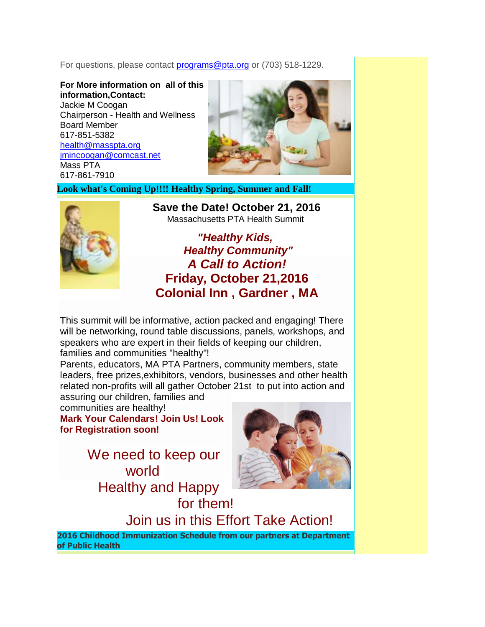For questions, please contact **[programs@pta.org](javascript:window.top.ZmObjectManager.__doClickObject(document.getElementById(%22OBJ_PREFIX_DWT459_com_zimbra_email%22));)** or (703) 518-1229.

**For More information on all of this information,Contact:** Jackie M Coogan Chairperson - Health and Wellness Board Member 617-851-5382 [health@masspta.org](javascript:window.top.ZmObjectManager.__doClickObject(document.getElementById(%22OBJ_PREFIX_DWT460_com_zimbra_email%22));) [jmincoogan@comcast.net](javascript:window.top.ZmObjectManager.__doClickObject(document.getElementById(%22OBJ_PREFIX_DWT461_com_zimbra_email%22));) Mass PTA 617-861-7910



**Look what's Coming Up!!!! Healthy Spring, Summer and Fall!**



**Save the Date! October 21, 2016** Massachusetts PTA Health Summit

*"Healthy Kids, Healthy Community" A Call to Action!* **Friday, October 21,2016 Colonial Inn , Gardner , MA**

This summit will be informative, action packed and engaging! There will be networking, round table discussions, panels, workshops, and speakers who are expert in their fields of keeping our children, families and communities "healthy"!

Parents, educators, MA PTA Partners, community members, state leaders, free prizes,exhibitors, vendors, businesses and other health related non-profits will all gather October 21st to put into action and

assuring our children, families and communities are healthy!

**Mark Your Calendars! Join Us! Look for Registration soon!**

> We need to keep our world Healthy and Happy for them!



Join us in this Effort Take Action!

**2016 Childhood Immunization Schedule from our partners at Department of Public Health**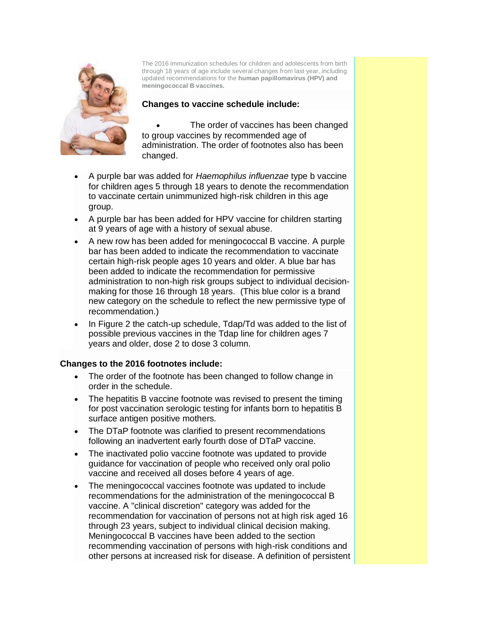

The 2016 immunization schedules for children and adolescents from birth through 18 years of age include several changes from last year, including updated recommendations for the **human papillomavirus (HPV) and meningococcal B vaccines.**

#### **Changes to vaccine schedule include:**

 The order of vaccines has been changed to group vaccines by recommended age of administration. The order of footnotes also has been changed.

- A purple bar was added for *Haemophilus influenzae* type b vaccine for children ages 5 through 18 years to denote the recommendation to vaccinate certain unimmunized high-risk children in this age group.
- A purple bar has been added for HPV vaccine for children starting at 9 years of age with a history of sexual abuse.
- A new row has been added for meningococcal B vaccine. A purple bar has been added to indicate the recommendation to vaccinate certain high-risk people ages 10 years and older. A blue bar has been added to indicate the recommendation for permissive administration to non-high risk groups subject to individual decisionmaking for those 16 through 18 years. (This blue color is a brand new category on the schedule to reflect the new permissive type of recommendation.)
- In Figure 2 the catch-up schedule, Tdap/Td was added to the list of possible previous vaccines in the Tdap line for children ages 7 years and older, dose 2 to dose 3 column.

## **Changes to the 2016 footnotes include:**

- The order of the footnote has been changed to follow change in order in the schedule.
- The hepatitis B vaccine footnote was revised to present the timing for post vaccination serologic testing for infants born to hepatitis B surface antigen positive mothers.
- The DTaP footnote was clarified to present recommendations following an inadvertent early fourth dose of DTaP vaccine.
- The inactivated polio vaccine footnote was updated to provide guidance for vaccination of people who received only oral polio vaccine and received all doses before 4 years of age.
- The meningococcal vaccines footnote was updated to include recommendations for the administration of the meningococcal B vaccine. A "clinical discretion" category was added for the recommendation for vaccination of persons not at high risk aged 16 through 23 years, subject to individual clinical decision making. Meningococcal B vaccines have been added to the section recommending vaccination of persons with high-risk conditions and other persons at increased risk for disease. A definition of persistent